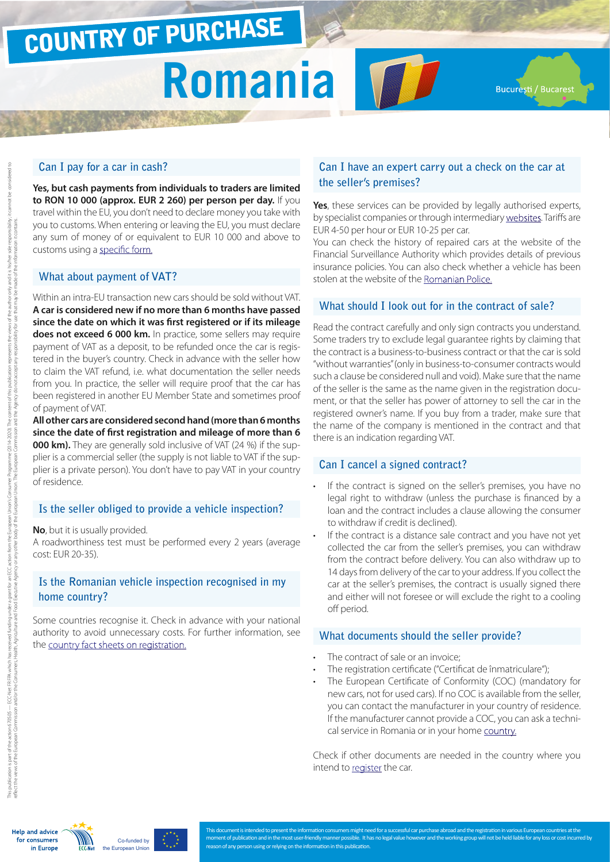# COUNTRY OF PURCHASE

# **Romania**

**Bucuresti / Bucarest** 

#### **Can I pay for a car in cash?**

**Yes, but cash payments from individuals to traders are limited to RON 10 000 (approx. EUR 2 260) per person per day.** If you travel within the EU, you don't need to declare money you take with you to customs. When entering or leaving the EU, you must declare any sum of money of or equivalent to EUR 10 000 and above to customs using a [specific form.](http://ec.europa.eu/taxation_customs/resources/documents/customs/customs_controls/cash_controls/declaration_forms/declaration_form_ro_en.pdf)

#### **What about payment of VAT?**

Within an intra-EU transaction new cars should be sold without VAT. **A car is considered new if no more than 6 months have passed since the date on which it was first registered or if its mileage does not exceed 6 000 km.** In practice, some sellers may require payment of VAT as a deposit, to be refunded once the car is registered in the buyer's country. Check in advance with the seller how to claim the VAT refund, i.e. what documentation the seller needs from you. In practice, the seller will require proof that the car has been registered in another EU Member State and sometimes proof of payment of VAT.

**All other cars are considered second hand (more than 6 months since the date of first registration and mileage of more than 6 000 km).** They are generally sold inclusive of VAT (24 %) if the supplier is a commercial seller (the supply is not liable to VAT if the supplier is a private person). You don't have to pay VAT in your country of residence.

## **Is the seller obliged to provide a vehicle inspection?**

**No**, but it is usually provided.

A roadworthiness test must be performed every 2 years (average cost: EUR 20-35).

### **Is the Romanian vehicle inspection recognised in my home country?**

Some countries recognise it. Check in advance with your national authority to avoid unnecessary costs. For further information, see the [country fact sheets on registration.](http://www.europe-consommateurs.eu/en/consumer-topics/on-the-road/buying-a-car/cross-border-car-purchase-and-registration/)

### **Can I have an expert carry out a check on the car at the seller's premises?**

**TOT** 

**Yes**, these services can be provided by legally authorised experts, by specialist companies or through intermediary [websites](http://www.auto.ro/cauta-experti). Tariffs are EUR 4-50 per hour or EUR 10-25 per car.

You can check the history of repaired cars at the website of the Financial Surveillance Authority which provides details of previous insurance policies. You can also check whether a vehicle has been stolen at the website of the [Romanian Police](https://www.politiaromana.ro/ro/autovehicule-furate ).

#### **What should I look out for in the contract of sale?**

Read the contract carefully and only sign contracts you understand. Some traders try to exclude legal guarantee rights by claiming that the contract is a business-to-business contract or that the car is sold "without warranties" (only in business-to-consumer contracts would such a clause be considered null and void). Make sure that the name of the seller is the same as the name given in the registration document, or that the seller has power of attorney to sell the car in the registered owner's name. If you buy from a trader, make sure that the name of the company is mentioned in the contract and that there is an indication regarding VAT.

#### **Can I cancel a signed contract?**

- If the contract is signed on the seller's premises, you have no legal right to withdraw (unless the purchase is financed by a loan and the contract includes a clause allowing the consumer to withdraw if credit is declined).
- If the contract is a distance sale contract and you have not yet collected the car from the seller's premises, you can withdraw from the contract before delivery. You can also withdraw up to 14 days from delivery of the car to your address. If you collect the car at the seller's premises, the contract is usually signed there and either will not foresee or will exclude the right to a cooling off period.

#### **What documents should the seller provide?**

- The contract of sale or an invoice:
- The registration certificate ("Certificat de înmatriculare");
- The European Certificate of Conformity (COC) (mandatory for new cars, not for used cars). If no COC is available from the seller, you can contact the manufacturer in your country of residence. If the manufacturer cannot provide a COC, you can ask a technical service in Romania or in your home [country](http://www.europe-consommateurs.eu/en/consumer-topics/on-the-road/buying-a-car/cross-border-car-purchase-and-registration/).

Check if other documents are needed in the country where you intend to [register](http://www.europe-consommateurs.eu/en/consumer-topics/on-the-road/buying-a-car/cross-border-car-purchase-and-registration/) the car.

**Help and advice** for consumers in Europe